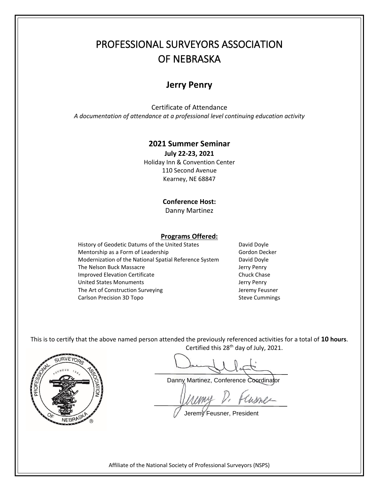# PROFESSIONAL SURVEYORS ASSOCIATION OF NEBRASKA

## **Jerry Penry**

Certificate of Attendance *A documentation of attendance at a professional level continuing education activity*

### **2021 Summer Seminar**

**July 22-23, 2021** Holiday Inn & Convention Center 110 Second Avenue Kearney, NE 68847

#### **Conference Host:**

Danny Martinez

#### **Programs Offered:**

History of Geodetic Datums of the United States David Doyle Mentorship as a Form of Leadership Gordon Decker Modernization of the National Spatial Reference System David Doyle The Nelson Buck Massacre **Very 2008** Jerry Penry Improved Elevation Certificate Chuck Chase United States Monuments **Jerry Penry** The Art of Construction Surveying The Art of Construction Surveying Carlson Precision 3D Topo Steve Cummings

This is to certify that the above named person attended the previously referenced activities for a total of **10 hours**. Certified this 28<sup>th</sup> day of July, 2021.



Danny Martinez, Conference Coordinator

Cusnes

Jeremy Feusner, President

Affiliate of the National Society of Professional Surveyors (NSPS)